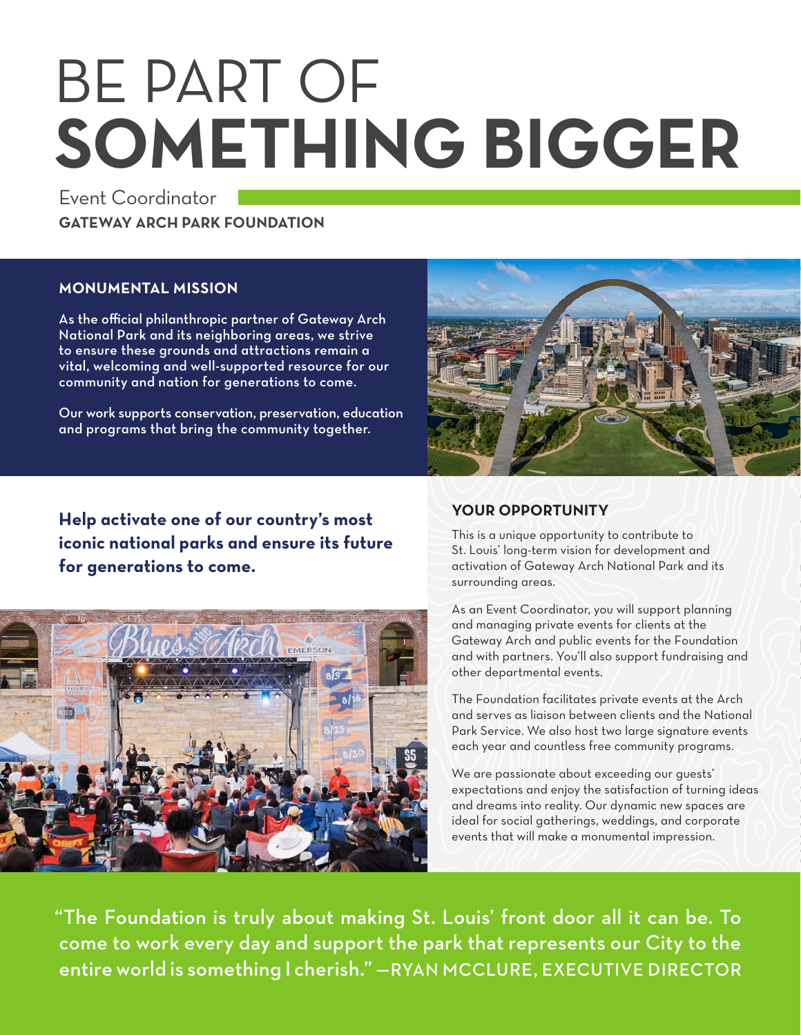# BE PART OF **SOMETHING BIGGER**

Event Coordinator **GATEWAY ARCH PARK FOUNDATION**

### **MONUMENTAL MISSION**

As the official philanthropic partner of Gateway Arch National Park and its neighboring areas, we strive to ensure these grounds and attractions remain a vital, welcoming and well-supported resource for our community and nation for generations to come.

Our work supports conservation, preservation, education and programs that bring the community together.

**Help activate one of our country's most iconic national parks and ensure its future for generations to come.**





### **YOUR OPPORTUNITY**

This is a unique opportunity to contribute to St. Louis' long-term vision for development and activation of Gateway Arch National Park and its surrounding areas.

As an Event Coordinator, you will support planning and managing private events for clients at the Gateway Arch and public events for the Foundation and with partners. You'll also support fundraising and other departmental events.

The Foundation facilitates private events at the Arch and serves as liaison between clients and the National Park Service. We also host two large signature events each year and countless free community programs.

We are passionate about exceeding our guests' expectations and enjoy the satisfaction of turning ideas and dreams into reality. Our dynamic new spaces are ideal for social gatherings, weddings, and corporate events that will make a monumental impression.

"The Foundation is truly about making St. Louis' front door all it can be. To come to work every day and support the park that represents our City to the entire world is something I cherish." —RYAN MCCLURE, EXECUTIVE DIRECTOR